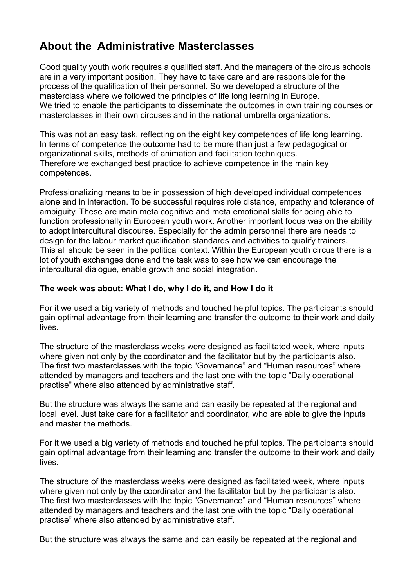# **About the Administrative Masterclasses**

Good quality youth work requires a qualified staff. And the managers of the circus schools are in a very important position. They have to take care and are responsible for the process of the qualification of their personnel. So we developed a structure of the masterclass where we followed the principles of life long learning in Europe. We tried to enable the participants to disseminate the outcomes in own training courses or masterclasses in their own circuses and in the national umbrella organizations.

This was not an easy task, reflecting on the eight key competences of life long learning. In terms of competence the outcome had to be more than just a few pedagogical or organizational skills, methods of animation and facilitation techniques. Therefore we exchanged best practice to achieve competence in the main key competences.

Professionalizing means to be in possession of high developed individual competences alone and in interaction. To be successful requires role distance, empathy and tolerance of ambiguity. These are main meta cognitive and meta emotional skills for being able to function professionally in European youth work. Another important focus was on the ability to adopt intercultural discourse. Especially for the admin personnel there are needs to design for the labour market qualification standards and activities to qualify trainers. This all should be seen in the political context. Within the European youth circus there is a lot of youth exchanges done and the task was to see how we can encourage the intercultural dialogue, enable growth and social integration.

## **The week was about: What I do, why I do it, and How I do it**

For it we used a big variety of methods and touched helpful topics. The participants should gain optimal advantage from their learning and transfer the outcome to their work and daily lives.

The structure of the masterclass weeks were designed as facilitated week, where inputs where given not only by the coordinator and the facilitator but by the participants also. The first two masterclasses with the topic "Governance" and "Human resources" where attended by managers and teachers and the last one with the topic "Daily operational practise" where also attended by administrative staff.

But the structure was always the same and can easily be repeated at the regional and local level. Just take care for a facilitator and coordinator, who are able to give the inputs and master the methods.

For it we used a big variety of methods and touched helpful topics. The participants should gain optimal advantage from their learning and transfer the outcome to their work and daily lives.

The structure of the masterclass weeks were designed as facilitated week, where inputs where given not only by the coordinator and the facilitator but by the participants also. The first two masterclasses with the topic "Governance" and "Human resources" where attended by managers and teachers and the last one with the topic "Daily operational practise" where also attended by administrative staff.

But the structure was always the same and can easily be repeated at the regional and